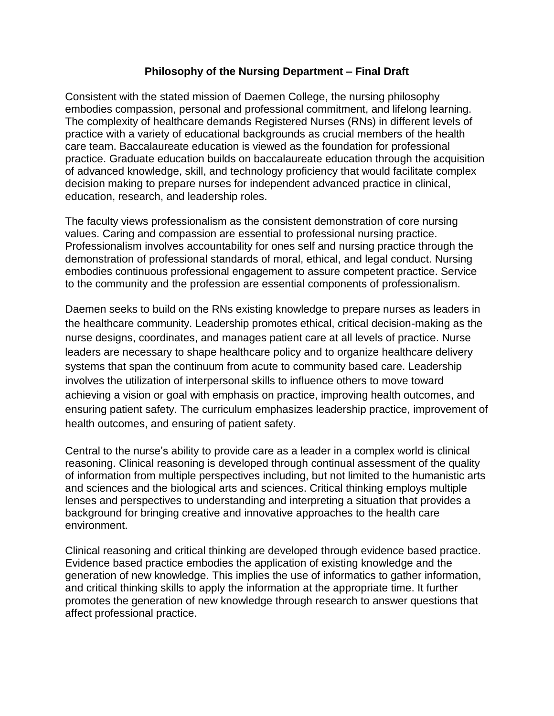## **Philosophy of the Nursing Department – Final Draft**

Consistent with the stated mission of Daemen College, the nursing philosophy embodies compassion, personal and professional commitment, and lifelong learning. The complexity of healthcare demands Registered Nurses (RNs) in different levels of practice with a variety of educational backgrounds as crucial members of the health care team. Baccalaureate education is viewed as the foundation for professional practice. Graduate education builds on baccalaureate education through the acquisition of advanced knowledge, skill, and technology proficiency that would facilitate complex decision making to prepare nurses for independent advanced practice in clinical, education, research, and leadership roles.

The faculty views professionalism as the consistent demonstration of core nursing values. Caring and compassion are essential to professional nursing practice. Professionalism involves accountability for ones self and nursing practice through the demonstration of professional standards of moral, ethical, and legal conduct. Nursing embodies continuous professional engagement to assure competent practice. Service to the community and the profession are essential components of professionalism.

Daemen seeks to build on the RNs existing knowledge to prepare nurses as leaders in the healthcare community. Leadership promotes ethical, critical decision-making as the nurse designs, coordinates, and manages patient care at all levels of practice. Nurse leaders are necessary to shape healthcare policy and to organize healthcare delivery systems that span the continuum from acute to community based care. Leadership involves the utilization of interpersonal skills to influence others to move toward achieving a vision or goal with emphasis on practice, improving health outcomes, and ensuring patient safety. The curriculum emphasizes leadership practice, improvement of health outcomes, and ensuring of patient safety.

Central to the nurse's ability to provide care as a leader in a complex world is clinical reasoning. Clinical reasoning is developed through continual assessment of the quality of information from multiple perspectives including, but not limited to the humanistic arts and sciences and the biological arts and sciences. Critical thinking employs multiple lenses and perspectives to understanding and interpreting a situation that provides a background for bringing creative and innovative approaches to the health care environment.

Clinical reasoning and critical thinking are developed through evidence based practice. Evidence based practice embodies the application of existing knowledge and the generation of new knowledge. This implies the use of informatics to gather information, and critical thinking skills to apply the information at the appropriate time. It further promotes the generation of new knowledge through research to answer questions that affect professional practice.